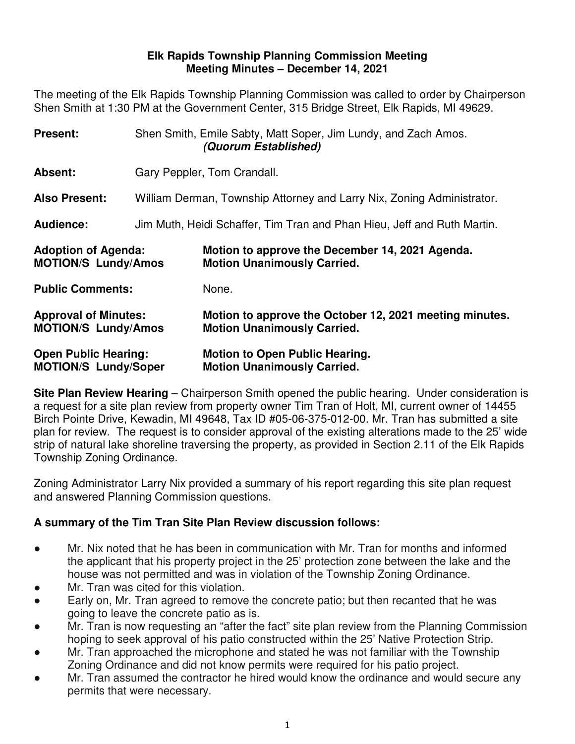#### **Elk Rapids Township Planning Commission Meeting Meeting Minutes – December 14, 2021**

The meeting of the Elk Rapids Township Planning Commission was called to order by Chairperson Shen Smith at 1:30 PM at the Government Center, 315 Bridge Street, Elk Rapids, MI 49629.

| Present:                                                   |                                                                         | Shen Smith, Emile Sabty, Matt Soper, Jim Lundy, and Zach Amos.<br>(Quorum Established)        |  |
|------------------------------------------------------------|-------------------------------------------------------------------------|-----------------------------------------------------------------------------------------------|--|
| Absent:                                                    | Gary Peppler, Tom Crandall.                                             |                                                                                               |  |
| <b>Also Present:</b>                                       | William Derman, Township Attorney and Larry Nix, Zoning Administrator.  |                                                                                               |  |
| Audience:                                                  | Jim Muth, Heidi Schaffer, Tim Tran and Phan Hieu, Jeff and Ruth Martin. |                                                                                               |  |
| <b>Adoption of Agenda:</b><br><b>MOTION/S Lundy/Amos</b>   |                                                                         | Motion to approve the December 14, 2021 Agenda.<br><b>Motion Unanimously Carried.</b>         |  |
| <b>Public Comments:</b>                                    |                                                                         | None.                                                                                         |  |
| <b>Approval of Minutes:</b><br><b>MOTION/S Lundy/Amos</b>  |                                                                         | Motion to approve the October 12, 2021 meeting minutes.<br><b>Motion Unanimously Carried.</b> |  |
| <b>Open Public Hearing:</b><br><b>MOTION/S Lundy/Soper</b> |                                                                         | <b>Motion to Open Public Hearing.</b><br><b>Motion Unanimously Carried.</b>                   |  |

**Site Plan Review Hearing** – Chairperson Smith opened the public hearing. Under consideration is a request for a site plan review from property owner Tim Tran of Holt, MI, current owner of 14455 Birch Pointe Drive, Kewadin, MI 49648, Tax ID #05-06-375-012-00. Mr. Tran has submitted a site plan for review. The request is to consider approval of the existing alterations made to the 25' wide strip of natural lake shoreline traversing the property, as provided in Section 2.11 of the Elk Rapids Township Zoning Ordinance.

Zoning Administrator Larry Nix provided a summary of his report regarding this site plan request and answered Planning Commission questions.

## **A summary of the Tim Tran Site Plan Review discussion follows:**

- Mr. Nix noted that he has been in communication with Mr. Tran for months and informed the applicant that his property project in the 25' protection zone between the lake and the house was not permitted and was in violation of the Township Zoning Ordinance.
- Mr. Tran was cited for this violation.
- Early on, Mr. Tran agreed to remove the concrete patio; but then recanted that he was going to leave the concrete patio as is.
- Mr. Tran is now requesting an "after the fact" site plan review from the Planning Commission hoping to seek approval of his patio constructed within the 25' Native Protection Strip.
- Mr. Tran approached the microphone and stated he was not familiar with the Township Zoning Ordinance and did not know permits were required for his patio project.
- Mr. Tran assumed the contractor he hired would know the ordinance and would secure any permits that were necessary.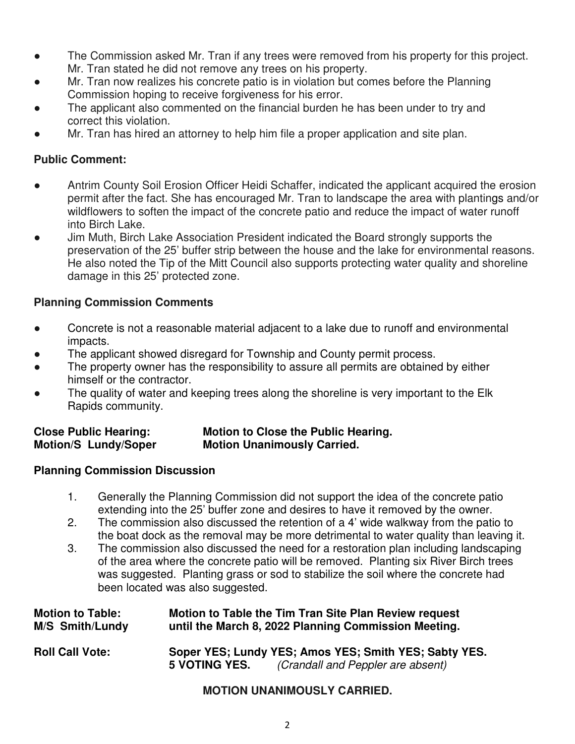- The Commission asked Mr. Tran if any trees were removed from his property for this project. Mr. Tran stated he did not remove any trees on his property.
- Mr. Tran now realizes his concrete patio is in violation but comes before the Planning Commission hoping to receive forgiveness for his error.
- The applicant also commented on the financial burden he has been under to try and correct this violation.
- Mr. Tran has hired an attorney to help him file a proper application and site plan.

#### **Public Comment:**

- Antrim County Soil Erosion Officer Heidi Schaffer, indicated the applicant acquired the erosion permit after the fact. She has encouraged Mr. Tran to landscape the area with plantings and/or wildflowers to soften the impact of the concrete patio and reduce the impact of water runoff into Birch Lake.
- Jim Muth, Birch Lake Association President indicated the Board strongly supports the preservation of the 25' buffer strip between the house and the lake for environmental reasons. He also noted the Tip of the Mitt Council also supports protecting water quality and shoreline damage in this 25' protected zone.

## **Planning Commission Comments**

- Concrete is not a reasonable material adjacent to a lake due to runoff and environmental impacts.
- The applicant showed disregard for Township and County permit process.
- The property owner has the responsibility to assure all permits are obtained by either himself or the contractor.
- The quality of water and keeping trees along the shoreline is very important to the Elk Rapids community.

#### **Close Public Hearing: Motion to Close the Public Hearing. Motion/S Lundy/Soper Motion Unanimously Carried.**

#### **Planning Commission Discussion**

- 1. Generally the Planning Commission did not support the idea of the concrete patio extending into the 25' buffer zone and desires to have it removed by the owner.
- 2. The commission also discussed the retention of a 4' wide walkway from the patio to the boat dock as the removal may be more detrimental to water quality than leaving it.
- 3. The commission also discussed the need for a restoration plan including landscaping of the area where the concrete patio will be removed. Planting six River Birch trees was suggested. Planting grass or sod to stabilize the soil where the concrete had been located was also suggested.

| <b>Motion to Table:</b> | Motion to Table the Tim Tran Site Plan Review request |                                                                                            |  |
|-------------------------|-------------------------------------------------------|--------------------------------------------------------------------------------------------|--|
| <b>M/S Smith/Lundy</b>  | until the March 8, 2022 Planning Commission Meeting.  |                                                                                            |  |
| <b>Roll Call Vote:</b>  | <b>5 VOTING YES.</b>                                  | Soper YES; Lundy YES; Amos YES; Smith YES; Sabty YES.<br>(Crandall and Peppler are absent) |  |

## **MOTION UNANIMOUSLY CARRIED.**